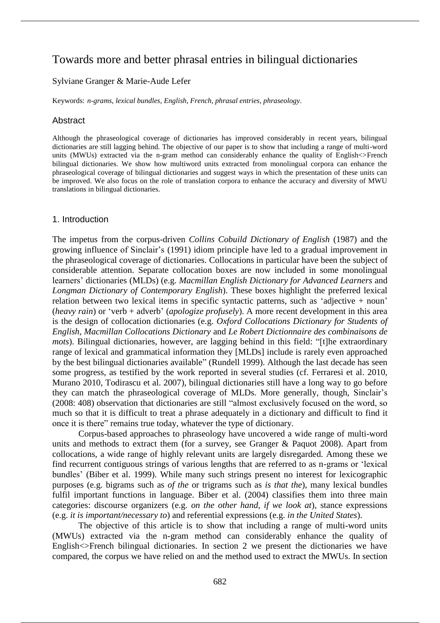# Towards more and better phrasal entries in bilingual dictionaries

# Sylviane Granger & Marie-Aude Lefer

Keywords: *n-grams*, *lexical bundles*, *English*, *French*, *phrasal entries*, *phraseology*.

# **Abstract**

Although the phraseological coverage of dictionaries has improved considerably in recent years, bilingual dictionaries are still lagging behind. The objective of our paper is to show that including a range of multi-word units (MWUs) extracted via the n-gram method can considerably enhance the quality of English<>French bilingual dictionaries. We show how multiword units extracted from monolingual corpora can enhance the phraseological coverage of bilingual dictionaries and suggest ways in which the presentation of these units can be improved. We also focus on the role of translation corpora to enhance the accuracy and diversity of MWU translations in bilingual dictionaries.

### 1. Introduction

The impetus from the corpus-driven *Collins Cobuild Dictionary of English* (1987) and the growing influence of Sinclair's (1991) idiom principle have led to a gradual improvement in the phraseological coverage of dictionaries. Collocations in particular have been the subject of considerable attention. Separate collocation boxes are now included in some monolingual learners' dictionaries (MLDs) (e.g. *Macmillan English Dictionary for Advanced Learners* and *Longman Dictionary of Contemporary English*). These boxes highlight the preferred lexical relation between two lexical items in specific syntactic patterns, such as 'adjective + noun' (*heavy rain*) or 'verb + adverb' (*apologize profusely*). A more recent development in this area is the design of collocation dictionaries (e.g. *Oxford Collocations Dictionary for Students of English*, *Macmillan Collocations Dictionary* and *Le Robert Dictionnaire des combinaisons de mots*). Bilingual dictionaries, however, are lagging behind in this field: "[t]he extraordinary range of lexical and grammatical information they [MLDs] include is rarely even approached by the best bilingual dictionaries available" (Rundell 1999). Although the last decade has seen some progress, as testified by the work reported in several studies (cf. Ferraresi et al. 2010, Murano 2010, Todirascu et al. 2007), bilingual dictionaries still have a long way to go before they can match the phraseological coverage of MLDs. More generally, though, Sinclair's (2008: 408) observation that dictionaries are still "almost exclusively focused on the word, so much so that it is difficult to treat a phrase adequately in a dictionary and difficult to find it once it is there" remains true today, whatever the type of dictionary.

Corpus-based approaches to phraseology have uncovered a wide range of multi-word units and methods to extract them (for a survey, see Granger & Paquot 2008). Apart from collocations, a wide range of highly relevant units are largely disregarded. Among these we find recurrent contiguous strings of various lengths that are referred to as n-grams or 'lexical bundles' (Biber et al. 1999). While many such strings present no interest for lexicographic purposes (e.g. bigrams such as *of the* or trigrams such as *is that the*), many lexical bundles fulfil important functions in language. Biber et al. (2004) classifies them into three main categories: discourse organizers (e.g. *on the other hand, if we look at*), stance expressions (e.g. *it is important/necessary to*) and referential expressions (e.g. *in the United States*).

The objective of this article is to show that including a range of multi-word units (MWUs) extracted via the n-gram method can considerably enhance the quality of English  $\leq$  French bilingual dictionaries. In section 2 we present the dictionaries we have compared, the corpus we have relied on and the method used to extract the MWUs. In section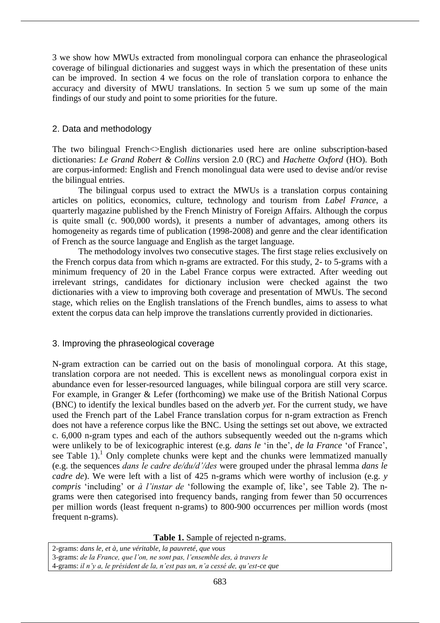3 we show how MWUs extracted from monolingual corpora can enhance the phraseological coverage of bilingual dictionaries and suggest ways in which the presentation of these units can be improved. In section 4 we focus on the role of translation corpora to enhance the accuracy and diversity of MWU translations. In section 5 we sum up some of the main findings of our study and point to some priorities for the future.

# 2. Data and methodology

The two bilingual French<>English dictionaries used here are online subscription-based dictionaries: *Le Grand Robert & Collins* version 2.0 (RC) and *Hachette Oxford* (HO). Both are corpus-informed: English and French monolingual data were used to devise and/or revise the bilingual entries.

The bilingual corpus used to extract the MWUs is a translation corpus containing articles on politics, economics, culture, technology and tourism from *Label France*, a quarterly magazine published by the French Ministry of Foreign Affairs. Although the corpus is quite small (c. 900,000 words), it presents a number of advantages, among others its homogeneity as regards time of publication (1998-2008) and genre and the clear identification of French as the source language and English as the target language.

The methodology involves two consecutive stages. The first stage relies exclusively on the French corpus data from which n-grams are extracted. For this study, 2- to 5-grams with a minimum frequency of 20 in the Label France corpus were extracted. After weeding out irrelevant strings, candidates for dictionary inclusion were checked against the two dictionaries with a view to improving both coverage and presentation of MWUs. The second stage, which relies on the English translations of the French bundles, aims to assess to what extent the corpus data can help improve the translations currently provided in dictionaries.

# 3. Improving the phraseological coverage

N-gram extraction can be carried out on the basis of monolingual corpora. At this stage, translation corpora are not needed. This is excellent news as monolingual corpora exist in abundance even for lesser-resourced languages, while bilingual corpora are still very scarce. For example, in Granger & Lefer (forthcoming) we make use of the British National Corpus (BNC) to identify the lexical bundles based on the adverb *yet*. For the current study, we have used the French part of the Label France translation corpus for n-gram extraction as French does not have a reference corpus like the BNC. Using the settings set out above, we extracted c. 6,000 n-gram types and each of the authors subsequently weeded out the n-grams which were unlikely to be of lexicographic interest (e.g. *dans le* 'in the', *de la France* 'of France', see Table 1).<sup>1</sup> Only complete chunks were kept and the chunks were lemmatized manually (e.g. the sequences *dans le cadre de/du/d'/des* were grouped under the phrasal lemma *dans le cadre de*). We were left with a list of 425 n-grams which were worthy of inclusion (e.g. *y compris* 'including' or *à l'instar de* 'following the example of, like', see Table 2). The ngrams were then categorised into frequency bands, ranging from fewer than 50 occurrences per million words (least frequent n-grams) to 800-900 occurrences per million words (most frequent n-grams).

**Table 1.** Sample of rejected n-grams.

2-grams: *dans le, et à, une véritable, la pauvreté, que vous*

3-grams: *de la France, que l'on, ne sont pas, l'ensemble des, à travers le*

4-grams: *il n'y a, le président de la, n'est pas un, n'a cessé de, qu'est-ce que*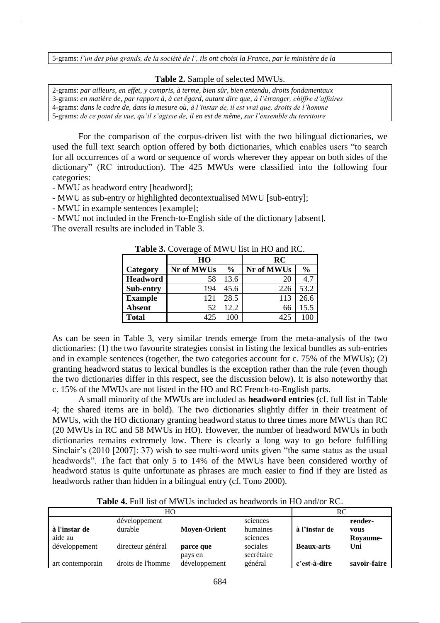5-grams: *l'un des plus grands, de la société de l', ils ont choisi la France, par le ministère de la*

#### **Table 2.** Sample of selected MWUs.

2-grams: *par ailleurs, en effet, y compris, à terme, bien sûr, bien entendu, droits fondamentaux* 3-grams: *en matière de, par rapport à, à cet égard, autant dire que, à l'étranger, chiffre d'affaires* 4-grams: *dans le cadre de, dans la mesure où, à l'instar de, il est vrai que, droits de l'homme* 5-grams: *de ce point de vue, qu'il s'agisse de, il en est de même, sur l'ensemble du territoire*

For the comparison of the corpus-driven list with the two bilingual dictionaries, we used the full text search option offered by both dictionaries, which enables users "to search for all occurrences of a word or sequence of words wherever they appear on both sides of the dictionary" (RC introduction). The 425 MWUs were classified into the following four categories:

- MWU as headword entry [headword];

- MWU as sub-entry or highlighted decontextualised MWU [sub-entry];

- MWU in example sentences [example];

- MWU not included in the French-to-English side of the dictionary [absent]. The overall results are included in Table 3.

| $\frac{1}{2}$ and $\frac{1}{2}$ and $\frac{1}{2}$ and $\frac{1}{2}$ and $\frac{1}{2}$ and $\frac{1}{2}$ and $\frac{1}{2}$ |            |      |            |               |  |
|---------------------------------------------------------------------------------------------------------------------------|------------|------|------------|---------------|--|
|                                                                                                                           | HO         |      | RC         |               |  |
| Category                                                                                                                  | Nr of MWUs | $\%$ | Nr of MWUs | $\frac{0}{0}$ |  |
| <b>Headword</b>                                                                                                           | 58         | 13.6 | 20         | 4.7           |  |
| Sub-entry                                                                                                                 | 194        | 45.6 | 226        | 53.2          |  |
| <b>Example</b>                                                                                                            | 121        | 28.5 | 113        | 26.6          |  |
| <b>Absent</b>                                                                                                             | 52         | 12.2 | 66         | 15.5          |  |
| <b>Total</b>                                                                                                              | 425        | 100  | 425        |               |  |

Table 3. Coverage of MWI list in HO and RC.

As can be seen in Table 3, very similar trends emerge from the meta-analysis of the two dictionaries: (1) the two favourite strategies consist in listing the lexical bundles as sub-entries and in example sentences (together, the two categories account for c. 75% of the MWUs); (2) granting headword status to lexical bundles is the exception rather than the rule (even though the two dictionaries differ in this respect, see the discussion below). It is also noteworthy that c. 15% of the MWUs are not listed in the HO and RC French-to-English parts.

A small minority of the MWUs are included as **headword entries** (cf. full list in Table 4; the shared items are in bold). The two dictionaries slightly differ in their treatment of MWUs, with the HO dictionary granting headword status to three times more MWUs than RC (20 MWUs in RC and 58 MWUs in HO). However, the number of headword MWUs in both dictionaries remains extremely low. There is clearly a long way to go before fulfilling Sinclair's (2010 [2007]: 37) wish to see multi-word units given "the same status as the usual headwords". The fact that only 5 to 14% of the MWUs have been considered worthy of headword status is quite unfortunate as phrases are much easier to find if they are listed as headwords rather than hidden in a bilingual entry (cf. Tono 2000).

**Table 4.** Full list of MWUs included as headwords in HO and/or RC.

|                          | HО                       |                          |                       | RC                |                        |
|--------------------------|--------------------------|--------------------------|-----------------------|-------------------|------------------------|
| à l'instar de            | développement<br>durable | <b>Moyen-Orient</b>      | sciences<br>humaines  | à l'instar de     | rendez-<br><b>VOUS</b> |
| aide au<br>développement | directeur général        | parce que                | sciences<br>sociales  | <b>Beaux-arts</b> | Rovaume-<br>Uni        |
| art contemporain         | droits de l'homme        | pays en<br>développement | secrétaire<br>général | c'est-à-dire      | savoir-faire           |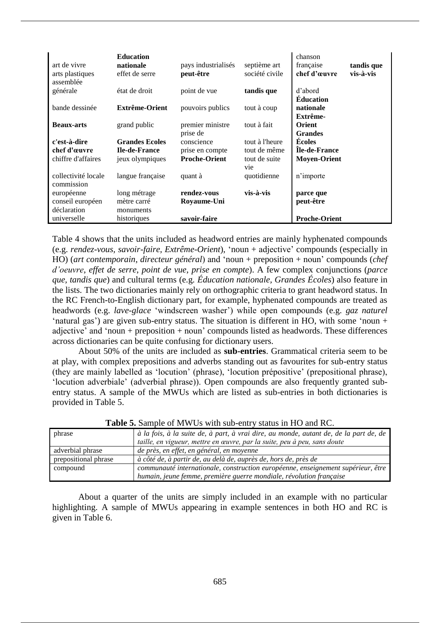| art de vivre<br>arts plastiques<br>assemblée | <b>Education</b><br>nationale<br>effet de serre | pays industrialisés<br>peut-être | septième art<br>société civile | chanson<br>française<br>chef d'œuvre | tandis que<br>vis-à-vis |
|----------------------------------------------|-------------------------------------------------|----------------------------------|--------------------------------|--------------------------------------|-------------------------|
| générale                                     | état de droit                                   | point de vue                     | tandis que                     | d'abord<br><b>Éducation</b>          |                         |
| bande dessinée                               | <b>Extrême-Orient</b>                           | pouvoirs publics                 | tout à coup                    | nationale<br>Extrême-                |                         |
| <b>Beaux-arts</b>                            | grand public                                    | premier ministre<br>prise de     | tout à fait                    | <b>Orient</b><br><b>Grandes</b>      |                         |
| c'est-à-dire                                 | <b>Grandes Ecoles</b>                           | conscience                       | tout à l'heure                 | <b>Ecoles</b>                        |                         |
| chef d'œuvre                                 | <b>Ile-de-France</b>                            | prise en compte                  | tout de même                   | <b>Ile-de-France</b>                 |                         |
| chiffre d'affaires                           | jeux olympiques                                 | <b>Proche-Orient</b>             | tout de suite<br>vie           | <b>Moven-Orient</b>                  |                         |
| collectivité locale<br>commission            | langue française                                | quant à                          | quotidienne                    | n'importe                            |                         |
| européenne                                   | long métrage                                    | rendez-vous                      | vis-à-vis                      | parce que                            |                         |
| conseil européen                             | mètre carré                                     | Royaume-Uni                      |                                | peut-être                            |                         |
| déclaration                                  | monuments                                       |                                  |                                |                                      |                         |
| universelle                                  | historiques                                     | savoir-faire                     |                                | <b>Proche-Orient</b>                 |                         |

Table 4 shows that the units included as headword entries are mainly hyphenated compounds (e.g. *rendez-vous, savoir-faire, Extrême-Orient*), 'noun + adjective' compounds (especially in HO) (*art contemporain*, *directeur général*) and 'noun + preposition + noun' compounds (*chef d'oeuvre*, *effet de serre*, *point de vue*, *prise en compte*). A few complex conjunctions (*parce que, tandis que*) and cultural terms (e.g. *Éducation nationale, Grandes Écoles*) also feature in the lists. The two dictionaries mainly rely on orthographic criteria to grant headword status. In the RC French-to-English dictionary part, for example, hyphenated compounds are treated as headwords (e.g. *lave-glace* 'windscreen washer') while open compounds (e.g. *gaz naturel*  'natural gas') are given sub-entry status. The situation is different in HO, with some 'noun + adjective' and 'noun + preposition + noun' compounds listed as headwords. These differences across dictionaries can be quite confusing for dictionary users.

About 50% of the units are included as **sub-entries**. Grammatical criteria seem to be at play, with complex prepositions and adverbs standing out as favourites for sub-entry status (they are mainly labelled as 'locution' (phrase), 'locution prépositive' (prepositional phrase), 'locution adverbiale' (adverbial phrase)). Open compounds are also frequently granted subentry status. A sample of the MWUs which are listed as sub-entries in both dictionaries is provided in Table 5.

| phrase               | à la fois, à la suite de, à part, à vrai dire, au monde, autant de, de la part de, de |
|----------------------|---------------------------------------------------------------------------------------|
|                      | taille, en vigueur, mettre en œuvre, par la suite, peu à peu, sans doute              |
| adverbial phrase     | de près, en effet, en général, en moyenne                                             |
| prepositional phrase | à côté de, à partir de, au delà de, auprès de, hors de, près de                       |
| compound             | communauté internationale, construction européenne, enseignement supérieur, être      |
|                      | humain, jeune femme, première guerre mondiale, révolution française                   |

**Table 5.** Sample of MWUs with sub-entry status in HO and RC.

About a quarter of the units are simply included in an example with no particular highlighting. A sample of MWUs appearing in example sentences in both HO and RC is given in Table 6.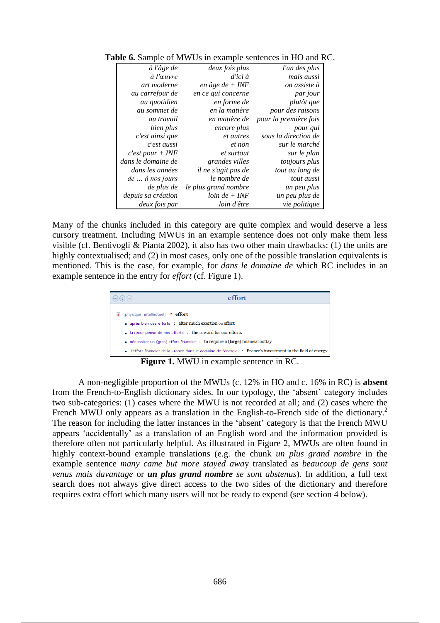| à l'âge de                    | deux fois plus       | l'un des plus         |
|-------------------------------|----------------------|-----------------------|
| à l'œuvre                     | $d'$ ici à           | mais aussi            |
| art moderne                   | en âge de + INF      | on assiste à          |
| au carrefour de               | en ce qui concerne   | par jour              |
| au quotidien                  | en forme de          | plutôt que            |
| au sommet de                  | en la matière        | pour des raisons      |
| au travail                    | en matière de        | pour la première fois |
| bien plus                     | encore plus          | pour qui              |
| c'est ainsi que               | et autres            | sous la direction de  |
| c'est aussi                   | et non               | sur le marché         |
| $c'est pour + INF$            | et surtout           | sur le plan           |
| dans le domaine de            | grandes villes       | toujours plus         |
| dans les années               | il ne s'agit pas de  | tout au long de       |
| $de \ldots \hat{a}$ nos jours | le nombre de         | tout aussi            |
| de plus de                    | le plus grand nombre | un peu plus           |
| depuis sa création            | $loin de + INF$      | un peu plus de        |
| deux fois par                 | loin d'être          | vie politique         |

**Table 6.** Sample of MWUs in example sentences in HO and RC.

Many of the chunks included in this category are quite complex and would deserve a less cursory treatment. Including MWUs in an example sentence does not only make them less visible (cf. Bentivogli & Pianta 2002), it also has two other main drawbacks: (1) the units are highly contextualised; and (2) in most cases, only one of the possible translation equivalents is mentioned. This is the case, for example, for *dans le domaine de* which RC includes in an example sentence in the entry for *effort* (cf. Figure 1).



A non-negligible proportion of the MWUs (c. 12% in HO and c. 16% in RC) is **absent** from the French-to-English dictionary sides. In our typology, the 'absent' category includes two sub-categories: (1) cases where the MWU is not recorded at all; and (2) cases where the French MWU only appears as a translation in the English-to-French side of the dictionary.<sup>2</sup> The reason for including the latter instances in the 'absent' category is that the French MWU appears 'accidentally' as a translation of an English word and the information provided is therefore often not particularly helpful. As illustrated in Figure 2, MWUs are often found in highly context-bound example translations (e.g. the chunk *un plus grand nombre* in the example sentence *many came but more stayed awa*y translated as *beaucoup de gens sont venus mais davantage* or *un plus grand nombre se sont abstenus*). In addition, a full text search does not always give direct access to the two sides of the dictionary and therefore requires extra effort which many users will not be ready to expend (see section 4 below).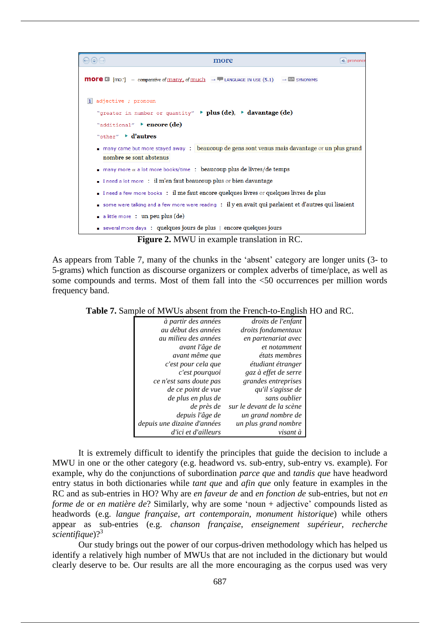

As appears from Table 7, many of the chunks in the 'absent' category are longer units (3- to 5-grams) which function as discourse organizers or complex adverbs of time/place, as well as some compounds and terms. Most of them fall into the <50 occurrences per million words frequency band.

**Table 7.** Sample of MWUs absent from the French-to-English HO and RC.

| à partir des années         | droits de l'enfant        |
|-----------------------------|---------------------------|
| au début des années         | droits fondamentaux       |
| au milieu des années        | en partenariat avec       |
| avant l'âge de              | et notamment              |
| avant même que              | états membres             |
| c'est pour cela que         | étudiant étranger         |
| c'est pourquoi              | gaz à effet de serre      |
| ce n'est sans doute pas     | grandes entreprises       |
| de ce point de vue          | qu'il s'agisse de         |
| de plus en plus de          | sans oublier              |
| de près de                  | sur le devant de la scène |
| depuis l'âge de             | un grand nombre de        |
| depuis une dizaine d'années | un plus grand nombre      |
| d'ici et d'ailleurs         | visant à                  |

It is extremely difficult to identify the principles that guide the decision to include a MWU in one or the other category (e.g. headword vs. sub-entry, sub-entry vs. example). For example, why do the conjunctions of subordination *parce que* and *tandis que* have headword entry status in both dictionaries while *tant que* and *afin que* only feature in examples in the RC and as sub-entries in HO? Why are *en faveur de* and *en fonction de* sub-entries, but not *en forme de* or *en matière de*? Similarly, why are some 'noun + adjective' compounds listed as headwords (e.g. *langue française*, *art contemporain*, *monument historique*) while others appear as sub-entries (e.g. *chanson française*, *enseignement supérieur*, *recherche scientifique*)?<sup>3</sup>

Our study brings out the power of our corpus-driven methodology which has helped us identify a relatively high number of MWUs that are not included in the dictionary but would clearly deserve to be. Our results are all the more encouraging as the corpus used was very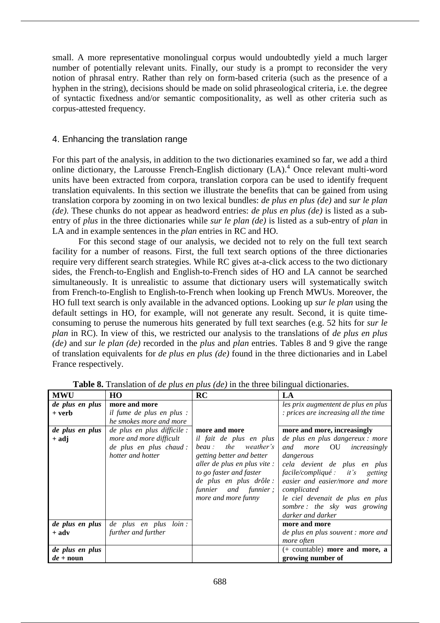small. A more representative monolingual corpus would undoubtedly yield a much larger number of potentially relevant units. Finally, our study is a prompt to reconsider the very notion of phrasal entry. Rather than rely on form-based criteria (such as the presence of a hyphen in the string), decisions should be made on solid phraseological criteria, i.e. the degree of syntactic fixedness and/or semantic compositionality, as well as other criteria such as corpus-attested frequency.

# 4. Enhancing the translation range

For this part of the analysis, in addition to the two dictionaries examined so far, we add a third online dictionary, the Larousse French-English dictionary  $(LA)$ .<sup>4</sup> Once relevant multi-word units have been extracted from corpora, translation corpora can be used to identify frequent translation equivalents. In this section we illustrate the benefits that can be gained from using translation corpora by zooming in on two lexical bundles: *de plus en plus (de)* and *sur le plan (de)*. These chunks do not appear as headword entries: *de plus en plus (de)* is listed as a subentry of *plus* in the three dictionaries while *sur le plan (de)* is listed as a sub-entry of *plan* in LA and in example sentences in the *plan* entries in RC and HO.

For this second stage of our analysis, we decided not to rely on the full text search facility for a number of reasons. First, the full text search options of the three dictionaries require very different search strategies. While RC gives at-a-click access to the two dictionary sides, the French-to-English and English-to-French sides of HO and LA cannot be searched simultaneously. It is unrealistic to assume that dictionary users will systematically switch from French-to-English to English-to-French when looking up French MWUs. Moreover, the HO full text search is only available in the advanced options. Looking up *sur le plan* using the default settings in HO, for example, will not generate any result. Second, it is quite timeconsuming to peruse the numerous hits generated by full text searches (e.g. 52 hits for *sur le plan* in RC). In view of this, we restricted our analysis to the translations of *de plus en plus (de)* and *sur le plan (de)* recorded in the *plus* and *plan* entries. Tables 8 and 9 give the range of translation equivalents for *de plus en plus (de)* found in the three dictionaries and in Label France respectively.

| <b>MWU</b>         | HO                               | RC                           | LA                                    |
|--------------------|----------------------------------|------------------------------|---------------------------------------|
| de plus en plus    | more and more                    |                              | les prix augmentent de plus en plus   |
| + verb             | <i>il fume de plus en plus :</i> |                              | : prices are increasing all the time  |
|                    | he smokes more and more          |                              |                                       |
| de plus en plus    | de plus en plus difficile :      | more and more                | more and more, increasingly           |
| + adj              | more and more difficult          | il fait de plus en plus      | de plus en plus dangereux : more      |
|                    | de plus en plus chaud :          | the weather's<br>beau:       | <i>more</i> OU<br>increasingly<br>and |
|                    | hotter and hotter                | getting better and better    | dangerous                             |
|                    |                                  | aller de plus en plus vite : | cela devient de plus en plus          |
|                    |                                  | to go faster and faster      | facile/compliqué : it's getting       |
|                    |                                  | de plus en plus drôle :      | easier and easier/more and more       |
|                    |                                  | funnier and funnier;         | complicated                           |
|                    |                                  | more and more funny          | le ciel devenait de plus en plus      |
|                    |                                  |                              | sombre: the sky was growing           |
|                    |                                  |                              | darker and darker                     |
| de plus en plus    | de plus en plus loin :           |                              | more and more                         |
| $+$ adv            | further and further              |                              | de plus en plus souvent : more and    |
|                    |                                  |                              | more often                            |
| de plus en plus    |                                  |                              | $(+)$ countable) more and more, a     |
| $de + \text{noun}$ |                                  |                              | growing number of                     |

**Table 8.** Translation of *de plus en plus (de)* in the three bilingual dictionaries.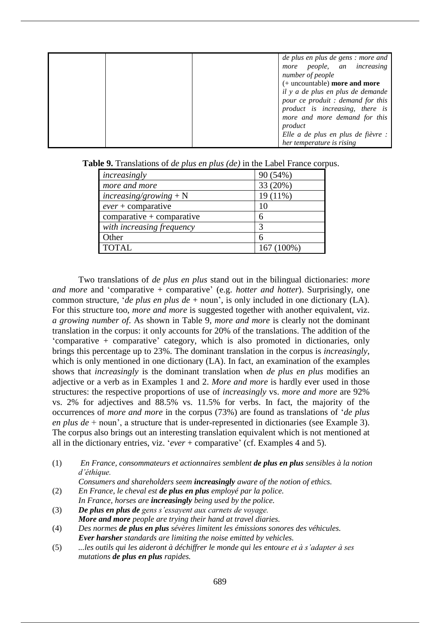|  | de plus en plus de gens : more and |
|--|------------------------------------|
|  | people, an increasing<br>more      |
|  | number of people                   |
|  | (+ uncountable) more and more      |
|  | il y a de plus en plus de demande  |
|  | pour ce produit : demand for this  |
|  | product is increasing, there is    |
|  | more and more demand for this      |
|  | product                            |
|  | Elle a de plus en plus de fièvre : |
|  | her temperature is rising          |

| increasingly                | 90(54%)      |
|-----------------------------|--------------|
| more and more               | 33 (20%)     |
| $increasing/group + N$      | $19(11\%)$   |
| $ever + comparative$        | 10           |
| $comparative + comparative$ |              |
| with increasing frequency   | 3            |
| Other                       |              |
| TOTAL                       | $167(100\%)$ |

**Table 9.** Translations of *de plus en plus (de)* in the Label France corpus.

Two translations of *de plus en plus* stand out in the bilingual dictionaries: *more and more* and 'comparative + comparative' (e.g. *hotter and hotter*). Surprisingly, one common structure, '*de plus en plus de* + noun', is only included in one dictionary (LA). For this structure too, *more and more* is suggested together with another equivalent, viz. *a growing number of*. As shown in Table 9, *more and more* is clearly not the dominant translation in the corpus: it only accounts for 20% of the translations. The addition of the 'comparative + comparative' category, which is also promoted in dictionaries, only brings this percentage up to 23%. The dominant translation in the corpus is *increasingly*, which is only mentioned in one dictionary (LA). In fact, an examination of the examples shows that *increasingly* is the dominant translation when *de plus en plus* modifies an adjective or a verb as in Examples 1 and 2. *More and more* is hardly ever used in those structures: the respective proportions of use of *increasingly* vs. *more and more* are 92% vs. 2% for adjectives and 88.5% vs. 11.5% for verbs. In fact, the majority of the occurrences of *more and more* in the corpus (73%) are found as translations of '*de plus en plus de* + noun', a structure that is under-represented in dictionaries (see Example 3). The corpus also brings out an interesting translation equivalent which is not mentioned at all in the dictionary entries, viz. '*ever* + comparative' (cf. Examples 4 and 5).

(1) *En France, consommateurs et actionnaires semblent de plus en plus sensibles à la notion d'éthique.*

*Consumers and shareholders seem increasingly aware of the notion of ethics.*

- (2) *En France, le cheval est de plus en plus employé par la police. In France, horses are increasingly being used by the police.*
- (3) *De plus en plus de gens s'essayent aux carnets de voyage. More and more people are trying their hand at travel diaries.*
- (4) *Des normes de plus en plus sévères limitent les émissions sonores des véhicules. Ever harsher standards are limiting the noise emitted by vehicles.*
- (5) *...les outils qui les aideront à déchiffrer le monde qui les entoure et à s'adapter à ses mutations de plus en plus rapides.*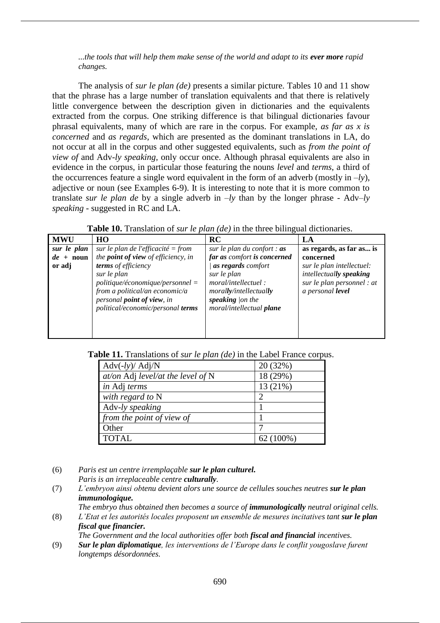...the tools that will help them make sense of the world and adapt to its ever more rapid *changes.*

The analysis of *sur le plan (de)* presents a similar picture. Tables 10 and 11 show that the phrase has a large number of translation equivalents and that there is relatively little convergence between the description given in dictionaries and the equivalents extracted from the corpus. One striking difference is that bilingual dictionaries favour phrasal equivalents, many of which are rare in the corpus. For example, *as far as x is concerned* and *as regards*, which are presented as the dominant translations in LA, do not occur at all in the corpus and other suggested equivalents, such as *from the point of view of* and Adv-*ly speaking,* only occur once. Although phrasal equivalents are also in evidence in the corpus, in particular those featuring the nouns *level* and *terms*, a third of the occurrences feature a single word equivalent in the form of an adverb (mostly in  $-ly$ ), adjective or noun (see Examples 6-9). It is interesting to note that it is more common to translate *sur le plan de* by a single adverb in –*ly* than by the longer phrase - Adv–*ly speaking -* suggested in RC and LA.

**Table 10.** Translation of *sur le plan (de)* in the three bilingual dictionaries.

| <b>MWU</b>         | HO                                                                                                                                                                                   | RC                                                                                                                                   | LA                                                                                                     |
|--------------------|--------------------------------------------------------------------------------------------------------------------------------------------------------------------------------------|--------------------------------------------------------------------------------------------------------------------------------------|--------------------------------------------------------------------------------------------------------|
| sur le plan        | sur le plan de l'efficacité = from                                                                                                                                                   | sur le plan du confort : $as$                                                                                                        | as regards, as far as is                                                                               |
| $de + \text{noun}$ | the <b>point of view</b> of efficiency, in                                                                                                                                           | far as comfort is concerned                                                                                                          | concerned                                                                                              |
| or adj             | terms of efficiency<br>sur le plan<br>$politique/économique/personnel =$<br>from a political/an economic/a<br>personal <b>point</b> of view, in<br>political/economic/personal terms | as regards comfort<br>sur le plan<br>moral/intellectuel:<br>morally/intellectually<br>speaking $ on$ the<br>moral/intellectual plane | sur le plan intellectuel:<br>intellectually speaking<br>sur le plan personnel : at<br>a personal level |

**Table 11.** Translations of *sur le plan (de)* in the Label France corpus.

| $\text{Adv}(-ly)/\text{Adj}/N$      | 20(32%)     |
|-------------------------------------|-------------|
| at/on Adj level/at the level of $N$ | 18 (29%)    |
| in Adj terms                        | 13 (21%)    |
| with regard to N                    |             |
| Adv-ly speaking                     |             |
| from the point of view of           |             |
| Other                               |             |
| <b>TOTAL</b>                        | $62(100\%)$ |

- (6) *Paris est un centre irremplaçable sur le plan culturel.*
	- *Paris is an irreplaceable centre culturally.*
- (7) *L'embryon ainsi obtenu devient alors une source de cellules souches neutres sur le plan immunologique.*
- *The embryo thus obtained then becomes a source of immunologically neutral original cells.* (8) *L'Etat et les autorités locales proposent un ensemble de mesures incitatives tant sur le plan*
- *fiscal que financier.*

*The Government and the local authorities offer both fiscal and financial incentives.* 

(9) *Sur le plan diplomatique, les interventions de l'Europe dans le conflit yougoslave furent longtemps désordonnées.*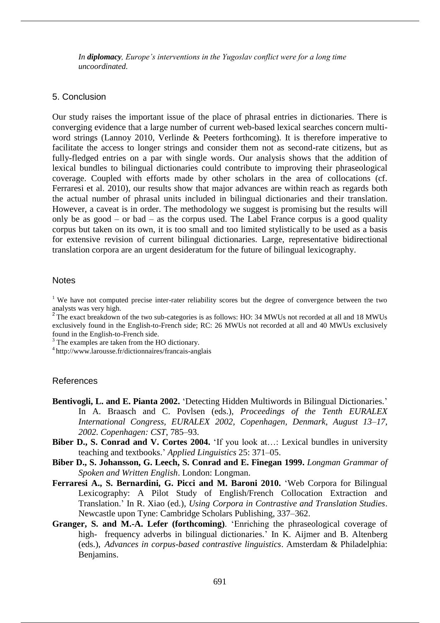*In diplomacy, Europe's interventions in the Yugoslav conflict were for a long time uncoordinated.* 

## 5. Conclusion

Our study raises the important issue of the place of phrasal entries in dictionaries. There is converging evidence that a large number of current web-based lexical searches concern multiword strings (Lannoy 2010, Verlinde & Peeters forthcoming). It is therefore imperative to facilitate the access to longer strings and consider them not as second-rate citizens, but as fully-fledged entries on a par with single words. Our analysis shows that the addition of lexical bundles to bilingual dictionaries could contribute to improving their phraseological coverage. Coupled with efforts made by other scholars in the area of collocations (cf. Ferraresi et al. 2010), our results show that major advances are within reach as regards both the actual number of phrasal units included in bilingual dictionaries and their translation. However, a caveat is in order. The methodology we suggest is promising but the results will only be as good – or bad – as the corpus used. The Label France corpus is a good quality corpus but taken on its own, it is too small and too limited stylistically to be used as a basis for extensive revision of current bilingual dictionaries. Large, representative bidirectional translation corpora are an urgent desideratum for the future of bilingual lexicography.

### **Notes**

<sup>1</sup> We have not computed precise inter-rater reliability scores but the degree of convergence between the two analysts was very high.

<sup>2</sup> The exact breakdown of the two sub-categories is as follows: HO: 34 MWUs not recorded at all and 18 MWUs exclusively found in the English-to-French side; RC: 26 MWUs not recorded at all and 40 MWUs exclusively found in the English-to-French side.

<sup>3</sup> The examples are taken from the HO dictionary.

<sup>4</sup>http://www.larousse.fr/dictionnaires/francais-anglais

### References

- **Bentivogli, L. and E. Pianta 2002.** 'Detecting Hidden Multiwords in Bilingual Dictionaries.' In A. Braasch and C. Povlsen (eds.), *Proceedings of the Tenth EURALEX International Congress, EURALEX 2002, Copenhagen, Denmark, August 13–17, 2002. Copenhagen: CST*, 785–93.
- **Biber D., S. Conrad and V. Cortes 2004.** 'If you look at…: Lexical bundles in university teaching and textbooks.' *Applied Linguistics* 25: 371–05.
- **Biber D., S. Johansson, G. Leech, S. Conrad and E. Finegan 1999.** *Longman Grammar of Spoken and Written English*. London: Longman.
- **Ferraresi A., S. Bernardini, G. Picci and M. Baroni 2010.** 'Web Corpora for Bilingual Lexicography: A Pilot Study of English/French Collocation Extraction and Translation.' In R. Xiao (ed.), *Using Corpora in Contrastive and Translation Studies*. Newcastle upon Tyne: Cambridge Scholars Publishing, 337–362.
- **Granger, S. and M.-A. Lefer (forthcoming)**. 'Enriching the phraseological coverage of high- frequency adverbs in bilingual dictionaries.' In K. Aijmer and B. Altenberg (eds.), *Advances in corpus-based contrastive linguistics*. Amsterdam & Philadelphia: Benjamins.